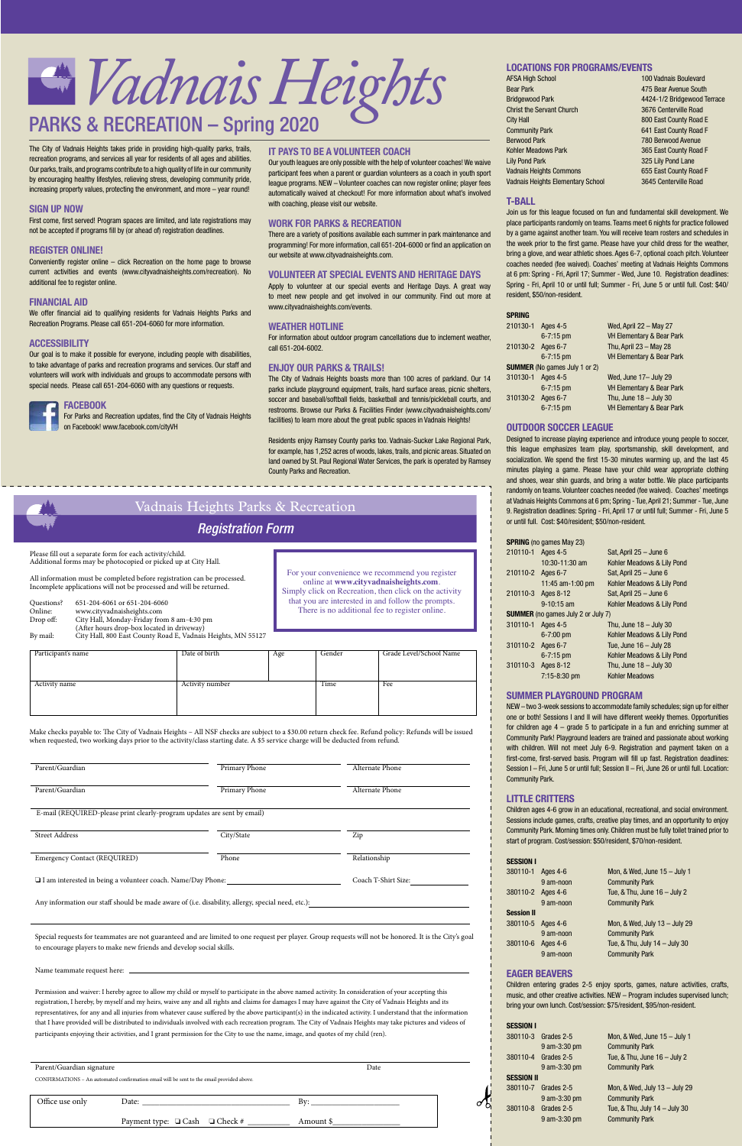

AFSA High School 100 Vadnais Boulevard

| ו שטווטט ווקוו ושנו ש             |                             |
|-----------------------------------|-----------------------------|
| <b>Bear Park</b>                  | 475 Bear Avenue South       |
| <b>Bridgewood Park</b>            | 4424-1/2 Bridgewood Terrace |
| <b>Christ the Servant Church</b>  | 3676 Centerville Road       |
| City Hall                         | 800 East County Road E      |
| <b>Community Park</b>             | 641 East County Road F      |
| <b>Berwood Park</b>               | 780 Berwood Avenue          |
| Kohler Meadows Park               | 365 East County Road F      |
| <b>Lily Pond Park</b>             | 325 Lily Pond Lane          |
| <b>Vadnais Heights Commons</b>    | 655 East County Road F      |
| Vadnais Heights Elementary School | 3645 Centerville Road       |

# **T-BALL**

Join us for this league focused on fun and fundamental skill development. We place participants randomly on teams. Teams meet 6 nights for practice followed by a game against another team. You will receive team rosters and schedules in the week prior to the first game. Please have your child dress for the weather, bring a glove, and wear athletic shoes. Ages 6-7, optional coach pitch. Volunteer coaches needed (fee waived). Coaches' meeting at Vadnais Heights Commons at 6 pm: Spring - Fri, April 17; Summer - Wed, June 10. Registration deadlines: Spring - Fri, April 10 or until full; Summer - Fri, June 5 or until full. Cost: \$40/ resident, \$50/non-resident.

| SPRING            |                                      |                                      |
|-------------------|--------------------------------------|--------------------------------------|
| 210130-1          | Ages 4-5                             | Wed, April $22 -$ May 27             |
|                   | $6 - 7:15$ pm                        | <b>VH Elementary &amp; Bear Park</b> |
| 210130-2 Ages 6-7 |                                      | Thu, April $23 - May 28$             |
|                   | $6 - 7:15$ pm                        | <b>VH Elementary &amp; Bear Park</b> |
|                   | <b>SUMMER</b> (No games July 1 or 2) |                                      |
| 310130-1          | Ages 4-5                             | Wed, June 17- July 29                |
|                   | $6 - 7:15$ pm                        | <b>VH Elementary &amp; Bear Park</b> |
| 310130-2          | Ages 6-7                             | Thu, June $18 -$ July 30             |
|                   | $6 - 7:15$ pm                        | <b>VH Elementary &amp; Bear Park</b> |
|                   |                                      |                                      |

# **OUTDOOR SOCCER LEAGUE**

Designed to increase playing experience and introduce young people to soccer, this league emphasizes team play, sportsmanship, skill development, and socialization. We spend the first 15-30 minutes warming up, and the last 45 minutes playing a game. Please have your child wear appropriate clothing and shoes, wear shin guards, and bring a water bottle. We place participants randomly on teams. Volunteer coaches needed (fee waived). Coaches' meetings at Vadnais Heights Commons at 6 pm; Spring - Tue, April 21; Summer - Tue, June 9. Registration deadlines: Spring - Fri, April 17 or until full; Summer - Fri, June 5 or until full. Cost: \$40/resident; \$50/non-resident.

# **SPRING** (no games May 23)

| 210110-1 Ages 4-5 |                                           | Sat, April $25 -$ June 6   |
|-------------------|-------------------------------------------|----------------------------|
|                   | 10:30-11:30 am                            | Kohler Meadows & Lily Pond |
| 210110-2 Ages 6-7 |                                           | Sat, April $25 -$ June 6   |
|                   | 11:45 am-1:00 pm                          | Kohler Meadows & Lily Pond |
|                   | 210110-3 Ages 8-12                        | Sat, April $25 -$ June 6   |
|                   | $9 - 10:15$ am                            | Kohler Meadows & Lily Pond |
|                   | <b>SUMMER</b> (no games July 2 or July 7) |                            |
| 310110-1 Ages 4-5 |                                           | Thu, June $18 -$ July 30   |
|                   | $6 - 7:00$ pm                             | Kohler Meadows & Lily Pond |
| 310110-2 Ages 6-7 |                                           | Tue, June $16 -$ July 28   |
|                   | $6 - 7:15$ pm                             | Kohler Meadows & Lily Pond |
|                   | 310110-3 Ages 8-12                        | Thu, June $18 -$ July 30   |
|                   | $7:15-8:30$ pm                            | <b>Kohler Meadows</b>      |

# **SUMMER PLAYGROUND PROGRAM**

| Parent/Guardian                                                          | Primary Phone | Alternate Phone |
|--------------------------------------------------------------------------|---------------|-----------------|
| Parent/Guardian                                                          | Primary Phone | Alternate Phone |
| E-mail (REQUIRED-please print clearly-program updates are sent by email) |               |                 |
| <b>Street Address</b>                                                    | City/State    | Zip             |

# **LOCATIONS FOR PROGRAMS/EVENTS**

NEW – two 3-week sessions to accommodate family schedules; sign up for either one or both! Sessions I and II will have different weekly themes. Opportunities for children age 4 – grade 5 to participate in a fun and enriching summer at Community Park! Playground leaders are trained and passionate about working with children. Will not meet July 6-9. Registration and payment taken on a first-come, first-served basis. Program will fill up fast. Registration deadlines: Session I – Fri, June 5 or until full; Session II – Fri, June 26 or until full. Location: Community Park.

# Emergency Contact (REQUIRED) Phone Phone Relationship □ I am interested in being a volunteer coach. Name/Day Phone: Coach T-Shirt Size: Any information our staff should be made aware of (i.e. disability, allergy, special need, etc.):

# **LITTLE CRITTERS**

Children ages 4-6 grow in an educational, recreational, and social environment. Sessions include games, crafts, creative play times, and an opportunity to enjoy Community Park. Morning times only. Children must be fully toilet trained prior to start of program. Cost/session: \$50/resident, \$70/non-resident.

# **SESSION I**

| 380110-1          | Ages 4-6  |
|-------------------|-----------|
|                   | 9 am-noon |
| 380110-2          | Ages 4-6  |
|                   | 9 am-noon |
| <b>Session II</b> |           |
| 380110-5          | Ages 4-6  |
|                   | 9 am-noon |
| 380110-6          | Ages 4-6  |
|                   | 9 am-noon |

# Mon, & Wed, June  $15 -$  July 1 **Community Park** Tue,  $&$  Thu, June 16 – July 2 **Community Park**

# Mon, & Wed, July 13 – July 29 Community Park Tue,  $&$  Thu, July 14 – July 30 **Community Park**

# **EAGER BEAVERS**

| <b>Registration Form</b>                                                                                                                       |                                                                                                                            |                                                              |     |                                                                                                      |                                                |
|------------------------------------------------------------------------------------------------------------------------------------------------|----------------------------------------------------------------------------------------------------------------------------|--------------------------------------------------------------|-----|------------------------------------------------------------------------------------------------------|------------------------------------------------|
|                                                                                                                                                | Please fill out a separate form for each activity/child.<br>Additional forms may be photocopied or picked up at City Hall. |                                                              |     |                                                                                                      | For your convenience we recommend you register |
| All information must be completed before registration can be processed.<br>Incomplete applications will not be processed and will be returned. |                                                                                                                            |                                                              |     | online at www.cityvadnaisheights.com.<br>Simply click on Recreation, then click on the activity      |                                                |
| Questions?<br>Online:                                                                                                                          | 651-204-6061 or 651-204-6060                                                                                               |                                                              |     | that you are interested in and follow the prompts.<br>There is no additional fee to register online. |                                                |
| Drop off:                                                                                                                                      | www.cityvadnaisheights.com<br>City Hall, Monday-Friday from 8 am-4:30 pm<br>(After hours drop-box located in driveway)     |                                                              |     |                                                                                                      |                                                |
| By mail:                                                                                                                                       |                                                                                                                            | City Hall, 800 East County Road E, Vadnais Heights, MN 55127 |     |                                                                                                      |                                                |
| Participant's name                                                                                                                             |                                                                                                                            | Date of birth                                                | Age | Gender                                                                                               | Grade Level/School Name                        |
| Activity name                                                                                                                                  |                                                                                                                            | Activity number                                              |     | Time                                                                                                 | Fee                                            |

| Parent/Guardian signature |                                                                                                                                                                                                                                | Date      |
|---------------------------|--------------------------------------------------------------------------------------------------------------------------------------------------------------------------------------------------------------------------------|-----------|
|                           | CONFIRMATIONS - An automated confirmation email will be sent to the email provided above.                                                                                                                                      |           |
|                           |                                                                                                                                                                                                                                |           |
| Office use only           | Date: the contract of the contract of the contract of the contract of the contract of the contract of the contract of the contract of the contract of the contract of the contract of the contract of the contract of the cont | Bv:       |
|                           | Payment type: $\Box$ Cash $\Box$ Check #                                                                                                                                                                                       | Amount \$ |

Children entering grades 2-5 enjoy sports, games, nature activities, crafts, music, and other creative activities. NEW – Program includes supervised lunch; bring your own lunch. Cost/session: \$75/resident, \$95/non-resident.

# **SESSION I**

|                   | 380110-3 Grades 2-5 | Mon, & Wed, June 15 - July 1        |
|-------------------|---------------------|-------------------------------------|
|                   | 9 am-3:30 pm        | <b>Community Park</b>               |
| 380110-4          | Grades 2-5          | Tue, $&$ Thu, June $16 -$ July 2    |
|                   | 9 am-3:30 pm        | <b>Community Park</b>               |
| <b>SESSION II</b> |                     |                                     |
| 380110-7          | Grades 2-5          | Mon, & Wed, July 13 - July 29       |
|                   | 9 am-3:30 pm        | <b>Community Park</b>               |
| 380110-8          | Grades 2-5          | Tue, $&$ Thu, July $14 -$ July $30$ |
|                   | 9 am-3:30 pm        | <b>Community Park</b>               |
|                   |                     |                                     |

The City of Vadnais Heights takes pride in providing high-quality parks, trails, recreation programs, and services all year for residents of all ages and abilities. Our parks, trails, and programs contribute to a high quality of life in our community by encouraging healthy lifestyles, relieving stress, developing community pride, increasing property values, protecting the environment, and more – year round!

# **SIGN UP NOW**

First come, first served! Program spaces are limited, and late registrations may not be accepted if programs fill by (or ahead of) registration deadlines.

# **REGISTER ONLINE!**

Conveniently register online – click Recreation on the home page to browse current activities and events (www.cityvadnaisheights.com/recreation). No additional fee to register online.

# **FINANCIAL AID**

We offer financial aid to qualifying residents for Vadnais Heights Parks and Recreation Programs. Please call 651-204-6060 for more information.

# **ACCESSIBILITY**

Our goal is to make it possible for everyone, including people with disabilities, to take advantage of parks and recreation programs and services. Our staff and volunteers will work with individuals and groups to accommodate persons with special needs. Please call 651-204-6060 with any questions or requests.

# **FACEBOOK**

 For Parks and Recreation updates, find the City of Vadnais Heights on Facebook! www.facebook.com/cityVH

when requested, two working days prior to the activity/class starting date. A \$5 service charge will be deducted from refund.

 Special requests for teammates are not guaranteed and are limited to one request per player. Group requests will not be honored. It is the City's goal to encourage players to make new friends and develop social skills.

Name teammate request here:

 Permission and waiver: I hereby agree to allow my child or myself to participate in the above named activity. In consideration of your accepting this registration, I hereby, by myself and my heirs, waive any and all rights and claims for damages I may have against the City of Vadnais Heights and its representatives, for any and all injuries from whatever cause suffered by the above participant(s) in the indicated activity. I understand that the information that I have provided will be distributed to individuals involved with each recreation program. The City of Vadnais Heights may take pictures and videos of participants enjoying their activities, and I grant permission for the City to use the name, image, and quotes of my child (ren).

# **IT PAYS TO BE A VOLUNTEER COACH**

Our youth leagues are only possible with the help of volunteer coaches! We waive participant fees when a parent or guardian volunteers as a coach in youth sport league programs. NEW – Volunteer coaches can now register online; player fees automatically waived at checkout! For more information about what's involved with coaching, please visit our website.

# **WORK FOR PARKS & RECREATION**

There are a variety of positions available each summer in park maintenance and programming! For more information, call 651-204-6000 or find an application on our website at www.cityvadnaisheights.com.

# **VOLUNTEER AT SPECIAL EVENTS AND HERITAGE DAYS**

Apply to volunteer at our special events and Heritage Days. A great way to meet new people and get involved in our community. Find out more at www.cityvadnaisheights.com/events.

# **WEATHER HOTLINE**

For information about outdoor program cancellations due to inclement weather, call 651-204-6002.

# **ENJOY OUR PARKS & TRAILS!**

The City of Vadnais Heights boasts more than 100 acres of parkland. Our 14 parks include playground equipment, trails, hard surface areas, picnic shelters, soccer and baseball/softball fields, basketball and tennis/pickleball courts, and restrooms. Browse our Parks & Facilities Finder (www.cityvadnaisheights.com/ facilities) to learn more about the great public spaces in Vadnais Heights!

Residents enjoy Ramsey County parks too. Vadnais-Sucker Lake Regional Park, for example, has 1,252 acres of woods, lakes, trails, and picnic areas. Situated on land owned by St. Paul Regional Water Services, the park is operated by Ramsey County Parks and Recreation.

\_\_\_\_\_\_\_\_\_\_\_\_\_\_\_\_\_\_\_\_\_\_\_\_\_\_\_\_\_\_\_